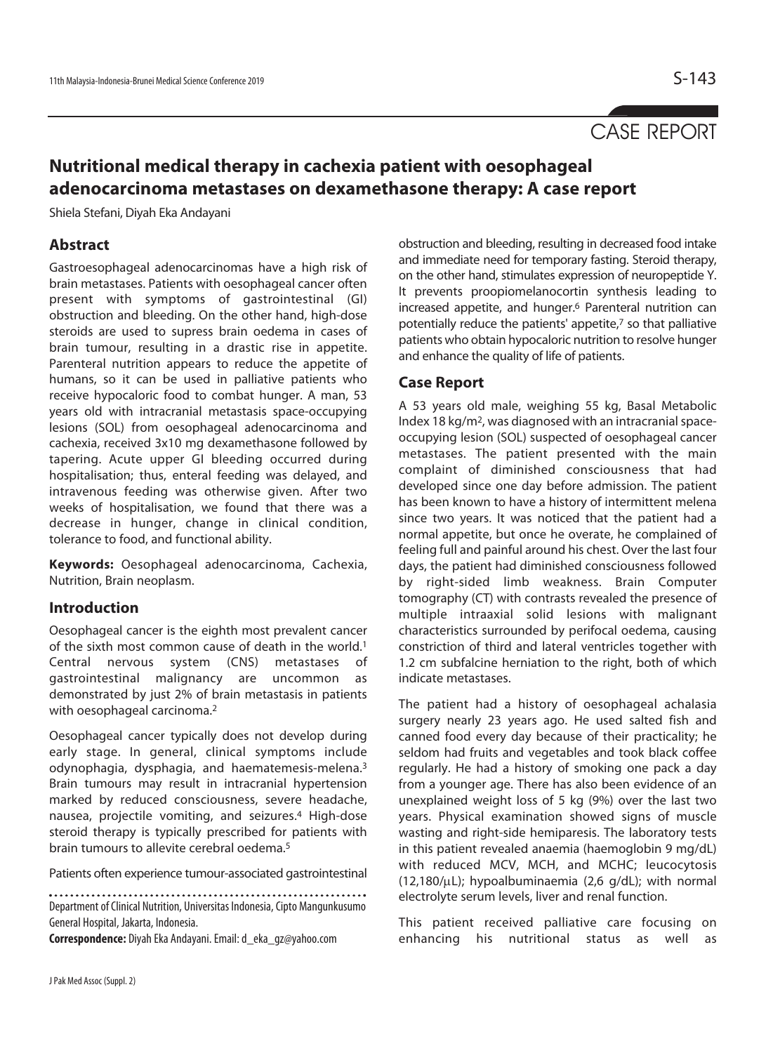# CASE REPORT

## **Nutritional medical therapy in cachexia patient with oesophageal adenocarcinoma metastases on dexamethasone therapy: A case report**

Shiela Stefani, Diyah Eka Andayani

### **Abstract**

Gastroesophageal adenocarcinomas have a high risk of brain metastases. Patients with oesophageal cancer often present with symptoms of gastrointestinal (GI) obstruction and bleeding. On the other hand, high-dose steroids are used to supress brain oedema in cases of brain tumour, resulting in a drastic rise in appetite. Parenteral nutrition appears to reduce the appetite of humans, so it can be used in palliative patients who receive hypocaloric food to combat hunger. A man, 53 years old with intracranial metastasis space-occupying lesions (SOL) from oesophageal adenocarcinoma and cachexia, received 3x10 mg dexamethasone followed by tapering. Acute upper GI bleeding occurred during hospitalisation; thus, enteral feeding was delayed, and intravenous feeding was otherwise given. After two weeks of hospitalisation, we found that there was a decrease in hunger, change in clinical condition, tolerance to food, and functional ability.

**Keywords:** Oesophageal adenocarcinoma, Cachexia, Nutrition, Brain neoplasm.

#### **Introduction**

Oesophageal cancer is the eighth most prevalent cancer of the sixth most common cause of death in the world.1 Central nervous system (CNS) metastases of gastrointestinal malignancy are uncommon as demonstrated by just 2% of brain metastasis in patients with oesophageal carcinoma.<sup>2</sup>

Oesophageal cancer typically does not develop during early stage. In general, clinical symptoms include odynophagia, dysphagia, and haematemesis-melena.3 Brain tumours may result in intracranial hypertension marked by reduced consciousness, severe headache, nausea, projectile vomiting, and seizures.4 High-dose steroid therapy is typically prescribed for patients with brain tumours to allevite cerebral oedema.5

Patients often experience tumour-associated gastrointestinal

Department of Clinical Nutrition, Universitas Indonesia, Cipto Mangunkusumo General Hospital, Jakarta, Indonesia.

**Correspondence:** Diyah Eka Andayani. Email: d\_eka\_gz@yahoo.com

obstruction and bleeding, resulting in decreased food intake and immediate need for temporary fasting. Steroid therapy, on the other hand, stimulates expression of neuropeptide Y. It prevents proopiomelanocortin synthesis leading to increased appetite, and hunger.6 Parenteral nutrition can potentially reduce the patients' appetite,7 so that palliative patients who obtain hypocaloric nutrition to resolve hunger and enhance the quality of life of patients.

## **Case Report**

A 53 years old male, weighing 55 kg, Basal Metabolic Index 18 kg/m2, was diagnosed with an intracranial spaceoccupying lesion (SOL) suspected of oesophageal cancer metastases. The patient presented with the main complaint of diminished consciousness that had developed since one day before admission. The patient has been known to have a history of intermittent melena since two years. It was noticed that the patient had a normal appetite, but once he overate, he complained of feeling full and painful around his chest. Over the last four days, the patient had diminished consciousness followed by right-sided limb weakness. Brain Computer tomography (CT) with contrasts revealed the presence of multiple intraaxial solid lesions with malignant characteristics surrounded by perifocal oedema, causing constriction of third and lateral ventricles together with 1.2 cm subfalcine herniation to the right, both of which indicate metastases.

The patient had a history of oesophageal achalasia surgery nearly 23 years ago. He used salted fish and canned food every day because of their practicality; he seldom had fruits and vegetables and took black coffee regularly. He had a history of smoking one pack a day from a younger age. There has also been evidence of an unexplained weight loss of 5 kg (9%) over the last two years. Physical examination showed signs of muscle wasting and right-side hemiparesis. The laboratory tests in this patient revealed anaemia (haemoglobin 9 mg/dL) with reduced MCV, MCH, and MCHC; leucocytosis (12,180/μL); hypoalbuminaemia (2,6 g/dL); with normal electrolyte serum levels, liver and renal function.

This patient received palliative care focusing on enhancing his nutritional status as well as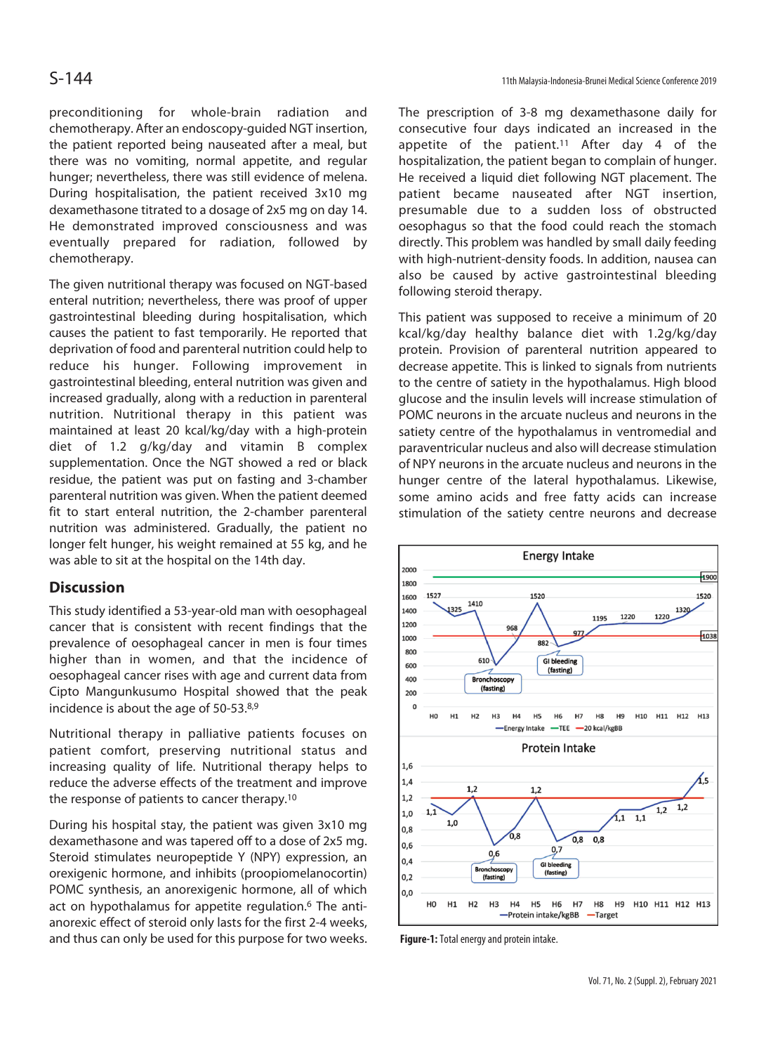preconditioning for whole-brain radiation and chemotherapy. After an endoscopy-guided NGT insertion, the patient reported being nauseated after a meal, but there was no vomiting, normal appetite, and regular hunger; nevertheless, there was still evidence of melena. During hospitalisation, the patient received 3x10 mg dexamethasone titrated to a dosage of 2x5 mg on day 14. He demonstrated improved consciousness and was eventually prepared for radiation, followed by chemotherapy.

The given nutritional therapy was focused on NGT-based enteral nutrition; nevertheless, there was proof of upper gastrointestinal bleeding during hospitalisation, which causes the patient to fast temporarily. He reported that deprivation of food and parenteral nutrition could help to reduce his hunger. Following improvement in gastrointestinal bleeding, enteral nutrition was given and increased gradually, along with a reduction in parenteral nutrition. Nutritional therapy in this patient was maintained at least 20 kcal/kg/day with a high-protein diet of 1.2 g/kg/day and vitamin B complex supplementation. Once the NGT showed a red or black residue, the patient was put on fasting and 3-chamber parenteral nutrition was given. When the patient deemed fit to start enteral nutrition, the 2-chamber parenteral nutrition was administered. Gradually, the patient no longer felt hunger, his weight remained at 55 kg, and he was able to sit at the hospital on the 14th day.

## **Discussion**

This study identified a 53-year-old man with oesophageal cancer that is consistent with recent findings that the prevalence of oesophageal cancer in men is four times higher than in women, and that the incidence of oesophageal cancer rises with age and current data from Cipto Mangunkusumo Hospital showed that the peak incidence is about the age of 50-53.8,9

Nutritional therapy in palliative patients focuses on patient comfort, preserving nutritional status and increasing quality of life. Nutritional therapy helps to reduce the adverse effects of the treatment and improve the response of patients to cancer therapy.10

During his hospital stay, the patient was given 3x10 mg dexamethasone and was tapered off to a dose of 2x5 mg. Steroid stimulates neuropeptide Y (NPY) expression, an orexigenic hormone, and inhibits (proopiomelanocortin) POMC synthesis, an anorexigenic hormone, all of which act on hypothalamus for appetite regulation.<sup>6</sup> The antianorexic effect of steroid only lasts for the first 2-4 weeks, and thus can only be used for this purpose for two weeks. The prescription of 3-8 mg dexamethasone daily for consecutive four days indicated an increased in the appetite of the patient.<sup>11</sup> After day 4 of the hospitalization, the patient began to complain of hunger. He received a liquid diet following NGT placement. The patient became nauseated after NGT insertion, presumable due to a sudden loss of obstructed oesophagus so that the food could reach the stomach directly. This problem was handled by small daily feeding with high-nutrient-density foods. In addition, nausea can also be caused by active gastrointestinal bleeding following steroid therapy.

This patient was supposed to receive a minimum of 20 kcal/kg/day healthy balance diet with 1.2g/kg/day protein. Provision of parenteral nutrition appeared to decrease appetite. This is linked to signals from nutrients to the centre of satiety in the hypothalamus. High blood glucose and the insulin levels will increase stimulation of POMC neurons in the arcuate nucleus and neurons in the satiety centre of the hypothalamus in ventromedial and paraventricular nucleus and also will decrease stimulation of NPY neurons in the arcuate nucleus and neurons in the hunger centre of the lateral hypothalamus. Likewise, some amino acids and free fatty acids can increase stimulation of the satiety centre neurons and decrease



**Figure-1:** Total energy and protein intake.